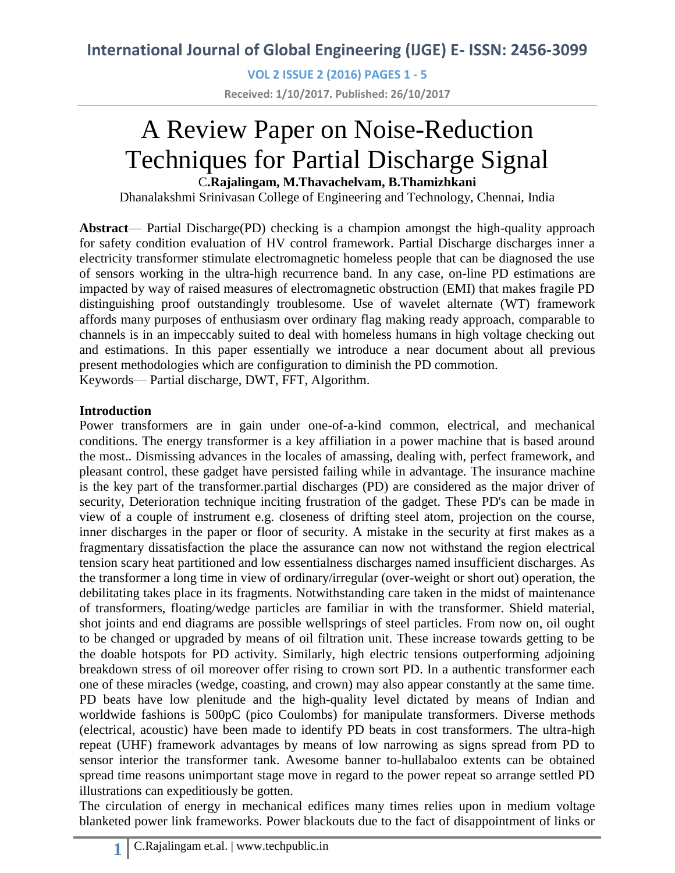**VOL 2 ISSUE 2 (2016) PAGES 1 - 5 Received: 1/10/2017. Published: 26/10/2017**

# A Review Paper on Noise-Reduction Techniques for Partial Discharge Signal C**.Rajalingam, M.Thavachelvam, B.Thamizhkani**

Dhanalakshmi Srinivasan College of Engineering and Technology, Chennai, India

**Abstract**— Partial Discharge(PD) checking is a champion amongst the high-quality approach for safety condition evaluation of HV control framework. Partial Discharge discharges inner a electricity transformer stimulate electromagnetic homeless people that can be diagnosed the use of sensors working in the ultra-high recurrence band. In any case, on-line PD estimations are impacted by way of raised measures of electromagnetic obstruction (EMI) that makes fragile PD distinguishing proof outstandingly troublesome. Use of wavelet alternate (WT) framework affords many purposes of enthusiasm over ordinary flag making ready approach, comparable to channels is in an impeccably suited to deal with homeless humans in high voltage checking out and estimations. In this paper essentially we introduce a near document about all previous present methodologies which are configuration to diminish the PD commotion. Keywords— Partial discharge, DWT, FFT, Algorithm.

**Introduction**

Power transformers are in gain under one-of-a-kind common, electrical, and mechanical conditions. The energy transformer is a key affiliation in a power machine that is based around the most.. Dismissing advances in the locales of amassing, dealing with, perfect framework, and pleasant control, these gadget have persisted failing while in advantage. The insurance machine is the key part of the transformer.partial discharges (PD) are considered as the major driver of security, Deterioration technique inciting frustration of the gadget. These PD's can be made in view of a couple of instrument e.g. closeness of drifting steel atom, projection on the course, inner discharges in the paper or floor of security. A mistake in the security at first makes as a fragmentary dissatisfaction the place the assurance can now not withstand the region electrical tension scary heat partitioned and low essentialness discharges named insufficient discharges. As the transformer a long time in view of ordinary/irregular (over-weight or short out) operation, the debilitating takes place in its fragments. Notwithstanding care taken in the midst of maintenance of transformers, floating/wedge particles are familiar in with the transformer. Shield material, shot joints and end diagrams are possible wellsprings of steel particles. From now on, oil ought to be changed or upgraded by means of oil filtration unit. These increase towards getting to be the doable hotspots for PD activity. Similarly, high electric tensions outperforming adjoining breakdown stress of oil moreover offer rising to crown sort PD. In a authentic transformer each one of these miracles (wedge, coasting, and crown) may also appear constantly at the same time. PD beats have low plenitude and the high-quality level dictated by means of Indian and worldwide fashions is 500pC (pico Coulombs) for manipulate transformers. Diverse methods (electrical, acoustic) have been made to identify PD beats in cost transformers. The ultra-high repeat (UHF) framework advantages by means of low narrowing as signs spread from PD to sensor interior the transformer tank. Awesome banner to-hullabaloo extents can be obtained spread time reasons unimportant stage move in regard to the power repeat so arrange settled PD illustrations can expeditiously be gotten.

The circulation of energy in mechanical edifices many times relies upon in medium voltage blanketed power link frameworks. Power blackouts due to the fact of disappointment of links or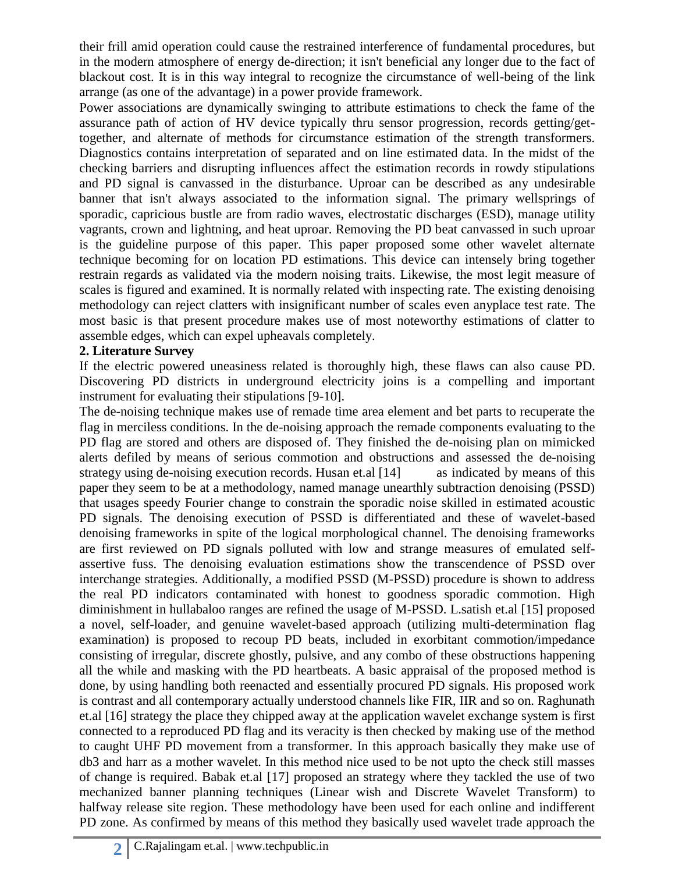their frill amid operation could cause the restrained interference of fundamental procedures, but in the modern atmosphere of energy de-direction; it isn't beneficial any longer due to the fact of blackout cost. It is in this way integral to recognize the circumstance of well-being of the link arrange (as one of the advantage) in a power provide framework.

Power associations are dynamically swinging to attribute estimations to check the fame of the assurance path of action of HV device typically thru sensor progression, records getting/gettogether, and alternate of methods for circumstance estimation of the strength transformers. Diagnostics contains interpretation of separated and on line estimated data. In the midst of the checking barriers and disrupting influences affect the estimation records in rowdy stipulations and PD signal is canvassed in the disturbance. Uproar can be described as any undesirable banner that isn't always associated to the information signal. The primary wellsprings of sporadic, capricious bustle are from radio waves, electrostatic discharges (ESD), manage utility vagrants, crown and lightning, and heat uproar. Removing the PD beat canvassed in such uproar is the guideline purpose of this paper. This paper proposed some other wavelet alternate technique becoming for on location PD estimations. This device can intensely bring together restrain regards as validated via the modern noising traits. Likewise, the most legit measure of scales is figured and examined. It is normally related with inspecting rate. The existing denoising methodology can reject clatters with insignificant number of scales even anyplace test rate. The most basic is that present procedure makes use of most noteworthy estimations of clatter to assemble edges, which can expel upheavals completely.

#### **2. Literature Survey**

If the electric powered uneasiness related is thoroughly high, these flaws can also cause PD. Discovering PD districts in underground electricity joins is a compelling and important instrument for evaluating their stipulations [9-10].

The de-noising technique makes use of remade time area element and bet parts to recuperate the flag in merciless conditions. In the de-noising approach the remade components evaluating to the PD flag are stored and others are disposed of. They finished the de-noising plan on mimicked alerts defiled by means of serious commotion and obstructions and assessed the de-noising strategy using de-noising execution records. Husan et.al [14] as indicated by means of this paper they seem to be at a methodology, named manage unearthly subtraction denoising (PSSD) that usages speedy Fourier change to constrain the sporadic noise skilled in estimated acoustic PD signals. The denoising execution of PSSD is differentiated and these of wavelet-based denoising frameworks in spite of the logical morphological channel. The denoising frameworks are first reviewed on PD signals polluted with low and strange measures of emulated selfassertive fuss. The denoising evaluation estimations show the transcendence of PSSD over interchange strategies. Additionally, a modified PSSD (M-PSSD) procedure is shown to address the real PD indicators contaminated with honest to goodness sporadic commotion. High diminishment in hullabaloo ranges are refined the usage of M-PSSD. L.satish et.al [15] proposed a novel, self-loader, and genuine wavelet-based approach (utilizing multi-determination flag examination) is proposed to recoup PD beats, included in exorbitant commotion/impedance consisting of irregular, discrete ghostly, pulsive, and any combo of these obstructions happening all the while and masking with the PD heartbeats. A basic appraisal of the proposed method is done, by using handling both reenacted and essentially procured PD signals. His proposed work is contrast and all contemporary actually understood channels like FIR, IIR and so on. Raghunath et.al [16] strategy the place they chipped away at the application wavelet exchange system is first connected to a reproduced PD flag and its veracity is then checked by making use of the method to caught UHF PD movement from a transformer. In this approach basically they make use of db3 and harr as a mother wavelet. In this method nice used to be not upto the check still masses of change is required. Babak et.al [17] proposed an strategy where they tackled the use of two mechanized banner planning techniques (Linear wish and Discrete Wavelet Transform) to halfway release site region. These methodology have been used for each online and indifferent PD zone. As confirmed by means of this method they basically used wavelet trade approach the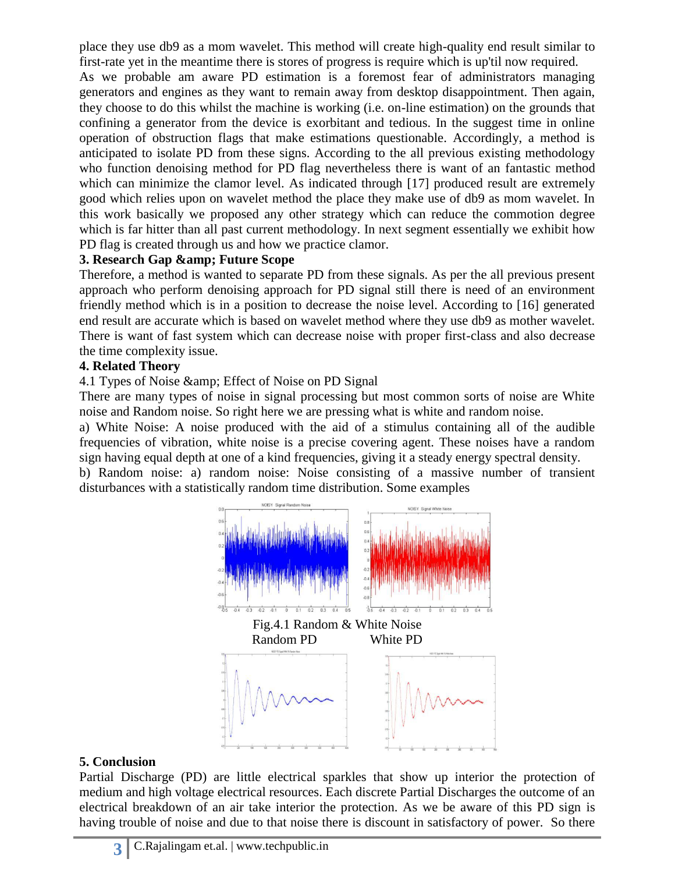place they use db9 as a mom wavelet. This method will create high-quality end result similar to first-rate yet in the meantime there is stores of progress is require which is up'til now required.

As we probable am aware PD estimation is a foremost fear of administrators managing generators and engines as they want to remain away from desktop disappointment. Then again, they choose to do this whilst the machine is working (i.e. on-line estimation) on the grounds that confining a generator from the device is exorbitant and tedious. In the suggest time in online operation of obstruction flags that make estimations questionable. Accordingly, a method is anticipated to isolate PD from these signs. According to the all previous existing methodology who function denoising method for PD flag nevertheless there is want of an fantastic method which can minimize the clamor level. As indicated through [17] produced result are extremely good which relies upon on wavelet method the place they make use of db9 as mom wavelet. In this work basically we proposed any other strategy which can reduce the commotion degree which is far hitter than all past current methodology. In next segment essentially we exhibit how PD flag is created through us and how we practice clamor.

## **3. Research Gap & amp; Future Scope**

Therefore, a method is wanted to separate PD from these signals. As per the all previous present approach who perform denoising approach for PD signal still there is need of an environment friendly method which is in a position to decrease the noise level. According to [16] generated end result are accurate which is based on wavelet method where they use db9 as mother wavelet. There is want of fast system which can decrease noise with proper first-class and also decrease the time complexity issue.

## **4. Related Theory**

4.1 Types of Noise & amp; Effect of Noise on PD Signal

There are many types of noise in signal processing but most common sorts of noise are White noise and Random noise. So right here we are pressing what is white and random noise.

a) White Noise: A noise produced with the aid of a stimulus containing all of the audible frequencies of vibration, white noise is a precise covering agent. These noises have a random sign having equal depth at one of a kind frequencies, giving it a steady energy spectral density.

b) Random noise: a) random noise: Noise consisting of a massive number of transient disturbances with a statistically random time distribution. Some examples



# **5. Conclusion**

Partial Discharge (PD) are little electrical sparkles that show up interior the protection of medium and high voltage electrical resources. Each discrete Partial Discharges the outcome of an electrical breakdown of an air take interior the protection. As we be aware of this PD sign is having trouble of noise and due to that noise there is discount in satisfactory of power. So there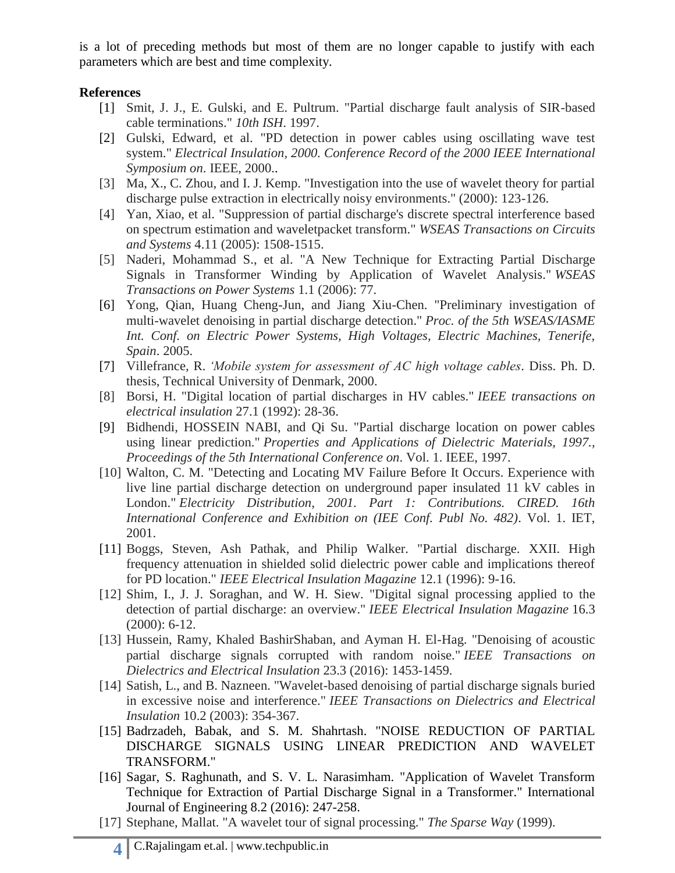is a lot of preceding methods but most of them are no longer capable to justify with each parameters which are best and time complexity.

#### **References**

- [1] Smit, J. J., E. Gulski, and E. Pultrum. "Partial discharge fault analysis of SIR-based cable terminations." *10th ISH*. 1997.
- [2] Gulski, Edward, et al. "PD detection in power cables using oscillating wave test system." *Electrical Insulation, 2000. Conference Record of the 2000 IEEE International Symposium on*. IEEE, 2000..
- [3] Ma, X., C. Zhou, and I. J. Kemp. "Investigation into the use of wavelet theory for partial discharge pulse extraction in electrically noisy environments." (2000): 123-126.
- [4] Yan, Xiao, et al. "Suppression of partial discharge's discrete spectral interference based on spectrum estimation and waveletpacket transform." *WSEAS Transactions on Circuits and Systems* 4.11 (2005): 1508-1515.
- [5] Naderi, Mohammad S., et al. "A New Technique for Extracting Partial Discharge Signals in Transformer Winding by Application of Wavelet Analysis." *WSEAS Transactions on Power Systems* 1.1 (2006): 77.
- [6] Yong, Qian, Huang Cheng-Jun, and Jiang Xiu-Chen. "Preliminary investigation of multi-wavelet denoising in partial discharge detection." *Proc. of the 5th WSEAS/IASME Int. Conf. on Electric Power Systems, High Voltages, Electric Machines, Tenerife, Spain*. 2005.
- [7] Villefrance, R. *'Mobile system for assessment of AC high voltage cables*. Diss. Ph. D. thesis, Technical University of Denmark, 2000.
- [8] Borsi, H. "Digital location of partial discharges in HV cables." *IEEE transactions on electrical insulation* 27.1 (1992): 28-36.
- [9] Bidhendi, HOSSEIN NABI, and Qi Su. "Partial discharge location on power cables using linear prediction." *Properties and Applications of Dielectric Materials, 1997., Proceedings of the 5th International Conference on*. Vol. 1. IEEE, 1997.
- [10] Walton, C. M. "Detecting and Locating MV Failure Before It Occurs. Experience with live line partial discharge detection on underground paper insulated 11 kV cables in London." *Electricity Distribution, 2001. Part 1: Contributions. CIRED. 16th International Conference and Exhibition on (IEE Conf. Publ No. 482)*. Vol. 1. IET, 2001.
- [11] Boggs, Steven, Ash Pathak, and Philip Walker. "Partial discharge. XXII. High frequency attenuation in shielded solid dielectric power cable and implications thereof for PD location." *IEEE Electrical Insulation Magazine* 12.1 (1996): 9-16.
- [12] Shim, I., J. J. Soraghan, and W. H. Siew. "Digital signal processing applied to the detection of partial discharge: an overview." *IEEE Electrical Insulation Magazine* 16.3 (2000): 6-12.
- [13] Hussein, Ramy, Khaled BashirShaban, and Ayman H. El-Hag. "Denoising of acoustic partial discharge signals corrupted with random noise." *IEEE Transactions on Dielectrics and Electrical Insulation* 23.3 (2016): 1453-1459.
- [14] Satish, L., and B. Nazneen. "Wavelet-based denoising of partial discharge signals buried in excessive noise and interference." *IEEE Transactions on Dielectrics and Electrical Insulation* 10.2 (2003): 354-367.
- [15] Badrzadeh, Babak, and S. M. Shahrtash. "NOISE REDUCTION OF PARTIAL DISCHARGE SIGNALS USING LINEAR PREDICTION AND WAVELET TRANSFORM."
- [16] Sagar, S. Raghunath, and S. V. L. Narasimham. "Application of Wavelet Transform Technique for Extraction of Partial Discharge Signal in a Transformer." International Journal of Engineering 8.2 (2016): 247-258.
- [17] Stephane, Mallat. "A wavelet tour of signal processing." *The Sparse Way* (1999).